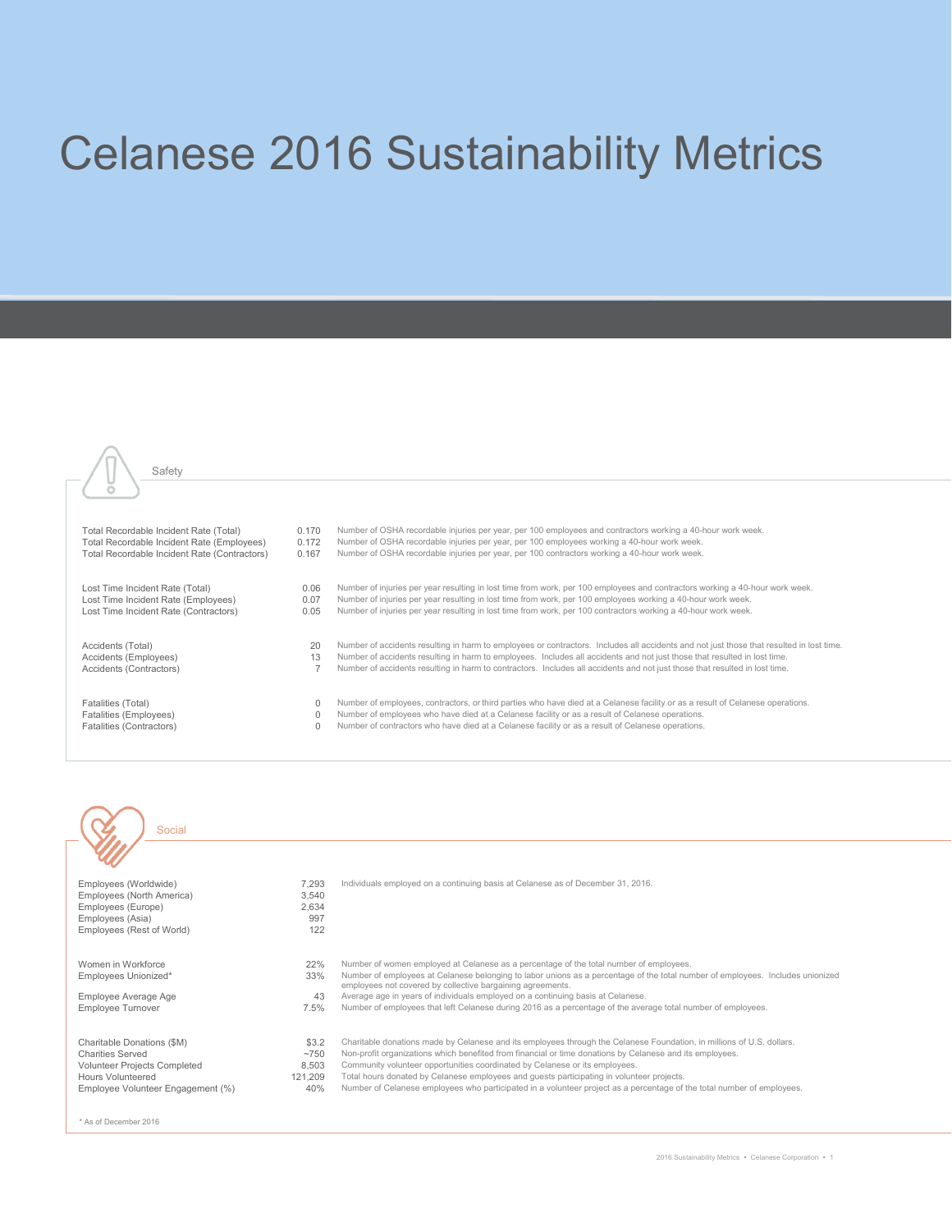## Celanese 2016 Sustainability Metrics





Social

| Employees (Worldwide)<br>Employees (North America)<br>Employees (Europe)<br>Employees (Asia)<br>Employees (Rest of World)                       | 7.293<br>3,540<br>2.634<br>997<br>122     | Individuals employed on a continuing basis at Celanese as of December 31, 2016.                                                                                                                                                                                                                                                                                                                                                                                                                                                         |
|-------------------------------------------------------------------------------------------------------------------------------------------------|-------------------------------------------|-----------------------------------------------------------------------------------------------------------------------------------------------------------------------------------------------------------------------------------------------------------------------------------------------------------------------------------------------------------------------------------------------------------------------------------------------------------------------------------------------------------------------------------------|
| Women in Workforce<br>Employees Unionized*<br>Employee Average Age<br>Employee Turnover                                                         | 22%<br>33%<br>43<br>7.5%                  | Number of women employed at Celanese as a percentage of the total number of employees.<br>Number of employees at Celanese belonging to labor unions as a percentage of the total number of employees. Includes unionized<br>employees not covered by collective bargaining agreements.<br>Average age in years of individuals employed on a continuing basis at Celanese.<br>Number of employees that left Celanese during 2016 as a percentage of the average total number of employees.                                               |
| Charitable Donations (\$M)<br><b>Charities Served</b><br>Volunteer Projects Completed<br>Hours Volunteered<br>Employee Volunteer Engagement (%) | \$3.2<br>~1750<br>8.503<br>121.209<br>40% | Charitable donations made by Celanese and its employees through the Celanese Foundation, in millions of U.S. dollars.<br>Non-profit organizations which benefited from financial or time donations by Celanese and its employees.<br>Community volunteer opportunities coordinated by Celanese or its employees.<br>Total hours donated by Celanese employees and guests participating in volunteer projects.<br>Number of Celanese employees who participated in a volunteer project as a percentage of the total number of employees. |